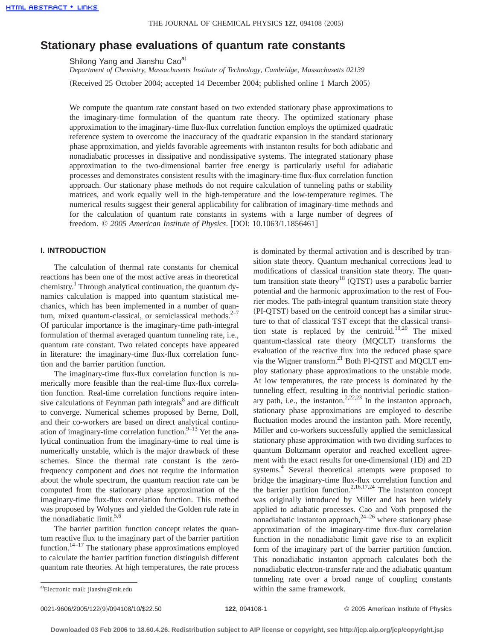# **Stationary phase evaluations of quantum rate constants**

Shilong Yang and Jianshu Cao<sup>a)</sup>

*Department of Chemistry, Massachusetts Institute of Technology, Cambridge, Massachusetts 02139* (Received 25 October 2004; accepted 14 December 2004; published online 1 March 2005)

We compute the quantum rate constant based on two extended stationary phase approximations to the imaginary-time formulation of the quantum rate theory. The optimized stationary phase approximation to the imaginary-time flux-flux correlation function employs the optimized quadratic reference system to overcome the inaccuracy of the quadratic expansion in the standard stationary phase approximation, and yields favorable agreements with instanton results for both adiabatic and nonadiabatic processes in dissipative and nondissipative systems. The integrated stationary phase approximation to the two-dimensional barrier free energy is particularly useful for adiabatic processes and demonstrates consistent results with the imaginary-time flux-flux correlation function approach. Our stationary phase methods do not require calculation of tunneling paths or stability matrices, and work equally well in the high-temperature and the low-temperature regimes. The numerical results suggest their general applicability for calibration of imaginary-time methods and for the calculation of quantum rate constants in systems with a large number of degrees of freedom. © 2005 American Institute of Physics. [DOI: 10.1063/1.1856461]

## **I. INTRODUCTION**

The calculation of thermal rate constants for chemical reactions has been one of the most active areas in theoretical chemistry.<sup>1</sup> Through analytical continuation, the quantum dynamics calculation is mapped into quantum statistical mechanics, which has been implemented in a number of quantum, mixed quantum-classical, or semiclassical methods. $2-7$ Of particular importance is the imaginary-time path-integral formulation of thermal averaged quantum tunneling rate, i.e., quantum rate constant. Two related concepts have appeared in literature: the imaginary-time flux-flux correlation function and the barrier partition function.

The imaginary-time flux-flux correlation function is numerically more feasible than the real-time flux-flux correlation function. Real-time correlation functions require intensive calculations of Feynman path integrals<sup>8</sup> and are difficult to converge. Numerical schemes proposed by Berne, Doll, and their co-workers are based on direct analytical continuation of imaginary-time correlation function.<sup>9–13</sup> Yet the analytical continuation from the imaginary-time to real time is numerically unstable, which is the major drawback of these schemes. Since the thermal rate constant is the zerofrequency component and does not require the information about the whole spectrum, the quantum reaction rate can be computed from the stationary phase approximation of the imaginary-time flux-flux correlation function. This method was proposed by Wolynes and yielded the Golden rule rate in the nonadiabatic limit. $5,6$ 

The barrier partition function concept relates the quantum reactive flux to the imaginary part of the barrier partition function.<sup>14–17</sup> The stationary phase approximations employed to calculate the barrier partition function distinguish different quantum rate theories. At high temperatures, the rate process

is dominated by thermal activation and is described by transition state theory. Quantum mechanical corrections lead to modifications of classical transition state theory. The quantum transition state theory<sup>18</sup> (QTST) uses a parabolic barrier potential and the harmonic approximation to the rest of Fourier modes. The path-integral quantum transition state theory (PI-QTST) based on the centroid concept has a similar structure to that of classical TST except that the classical transition state is replaced by the centroid.<sup>19,20</sup> The mixed quantum-classical rate theory (MQCLT) transforms the evaluation of the reactive flux into the reduced phase space via the Wigner transform. $^{21}$  Both PI-QTST and MQCLT employ stationary phase approximations to the unstable mode. At low temperatures, the rate process is dominated by the tunneling effect, resulting in the nontrivial periodic stationary path, i.e., the instanton.<sup>2,22,23</sup> In the instanton approach, stationary phase approximations are employed to describe fluctuation modes around the instanton path. More recently, Miller and co-workers successfully applied the semiclassical stationary phase approximation with two dividing surfaces to quantum Boltzmann operator and reached excellent agreement with the exact results for one-dimensional (1D) and 2D systems.<sup>4</sup> Several theoretical attempts were proposed to bridge the imaginary-time flux-flux correlation function and the barrier partition function.<sup>2,16,17,24</sup> The instanton concept was originally introduced by Miller and has been widely applied to adiabatic processes. Cao and Voth proposed the nonadiabatic instanton approach, $24-26$  where stationary phase approximation of the imaginary-time flux-flux correlation function in the nonadiabatic limit gave rise to an explicit form of the imaginary part of the barrier partition function. This nonadiabatic instanton approach calculates both the nonadiabatic electron-transfer rate and the adiabatic quantum tunneling rate over a broad range of coupling constants within the same framework.

0021-9606/2005/122~9!/094108/10/\$22.50 © 2005 American Institute of Physics **122**, 094108-1

Electronic mail: jianshu@mit.edu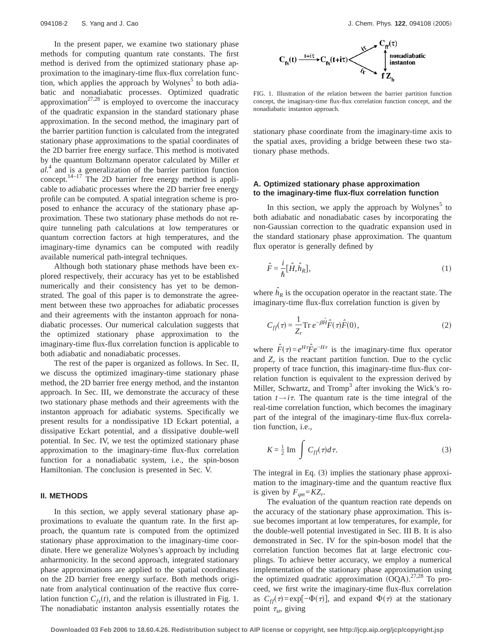In the present paper, we examine two stationary phase methods for computing quantum rate constants. The first method is derived from the optimized stationary phase approximation to the imaginary-time flux-flux correlation function, which applies the approach by Wolynes<sup>5</sup> to both adiabatic and nonadiabatic processes. Optimized quadratic approximation<sup>27,28</sup> is employed to overcome the inaccuracy of the quadratic expansion in the standard stationary phase approximation. In the second method, the imaginary part of the barrier partition function is calculated from the integrated stationary phase approximations to the spatial coordinates of the 2D barrier free energy surface. This method is motivated by the quantum Boltzmann operator calculated by Miller *et al.*<sup>4</sup> and is a generalization of the barrier partition function concept. $14-17$  The 2D barrier free energy method is applicable to adiabatic processes where the 2D barrier free energy profile can be computed. A spatial integration scheme is proposed to enhance the accuracy of the stationary phase approximation. These two stationary phase methods do not require tunneling path calculations at low temperatures or quantum correction factors at high temperatures, and the imaginary-time dynamics can be computed with readily available numerical path-integral techniques.

Although both stationary phase methods have been explored respectively, their accuracy has yet to be established numerically and their consistency has yet to be demonstrated. The goal of this paper is to demonstrate the agreement between these two approaches for adiabatic processes and their agreements with the instanton approach for nonadiabatic processes. Our numerical calculation suggests that the optimized stationary phase approximation to the imaginary-time flux-flux correlation function is applicable to both adiabatic and nonadiabatic processes.

The rest of the paper is organized as follows. In Sec. II, we discuss the optimized imaginary-time stationary phase method, the 2D barrier free energy method, and the instanton approach. In Sec. III, we demonstrate the accuracy of these two stationary phase methods and their agreements with the instanton approach for adiabatic systems. Specifically we present results for a nondissipative 1D Eckart potential, a dissipative Eckart potential, and a dissipative double-well potential. In Sec. IV, we test the optimized stationary phase approximation to the imaginary-time flux-flux correlation function for a nonadiabatic system, i.e., the spin-boson Hamiltonian. The conclusion is presented in Sec. V.

#### **II. METHODS**

In this section, we apply several stationary phase approximations to evaluate the quantum rate. In the first approach, the quantum rate is computed from the optimized stationary phase approximation to the imaginary-time coordinate. Here we generalize Wolynes's approach by including anharmonicity. In the second approach, integrated stationary phase approximations are applied to the spatial coordinates on the 2D barrier free energy surface. Both methods originate from analytical continuation of the reactive flux correlation function  $C_{fs}(t)$ , and the relation is illustrated in Fig. 1. The nonadiabatic instanton analysis essentially rotates the



FIG. 1. Illustration of the relation between the barrier partition function concept, the imaginary-time flux-flux correlation function concept, and the nonadiabatic instanton approach.

stationary phase coordinate from the imaginary-time axis to the spatial axes, providing a bridge between these two stationary phase methods.

## **A. Optimized stationary phase approximation to the imaginary-time flux-flux correlation function**

In this section, we apply the approach by Wolynes<sup>5</sup> to both adiabatic and nonadiabatic cases by incorporating the non-Gaussian correction to the quadratic expansion used in the standard stationary phase approximation. The quantum flux operator is generally defined by

$$
\hat{F} = \frac{i}{\hbar} [\hat{H}, \hat{h}_R],\tag{1}
$$

where  $\hat{h}_R$  is the occupation operator in the reactant state. The imaginary-time flux-flux correlation function is given by

$$
C_{ff}(\tau) = \frac{1}{Z_r} \operatorname{Tr} e^{-\beta \hat{H}} \hat{F}(\tau) \hat{F}(0), \tag{2}
$$

where  $\hat{F}(\tau) = e^{H\tau} \hat{F} e^{-H\tau}$  is the imaginary-time flux operator and  $Z_r$  is the reactant partition function. Due to the cyclic property of trace function, this imaginary-time flux-flux correlation function is equivalent to the expression derived by Miller, Schwartz, and Tromp<sup>3</sup> after invoking the Wick's rotation  $t \rightarrow i\tau$ . The quantum rate is the time integral of the real-time correlation function, which becomes the imaginary part of the integral of the imaginary-time flux-flux correlation function, i.e.,

$$
K = \frac{1}{2} \operatorname{Im} \int C_{ff}(\tau) d\tau.
$$
 (3)

The integral in Eq.  $(3)$  implies the stationary phase approximation to the imaginary-time and the quantum reactive flux is given by  $F_{\text{qm}}=KZ_r$ .

The evaluation of the quantum reaction rate depends on the accuracy of the stationary phase approximation. This issue becomes important at low temperatures, for example, for the double-well potential investigated in Sec. III B. It is also demonstrated in Sec. IV for the spin-boson model that the correlation function becomes flat at large electronic couplings. To achieve better accuracy, we employ a numerical implementation of the stationary phase approximation using the optimized quadratic approximation  $(OQA)$ .<sup>27,28</sup> To proceed, we first write the imaginary-time flux-flux correlation as  $C_{ff}(\tau) = \exp[-\Phi(\tau)]$ , and expand  $\Phi(\tau)$  at the stationary point  $\tau_{st}$ , giving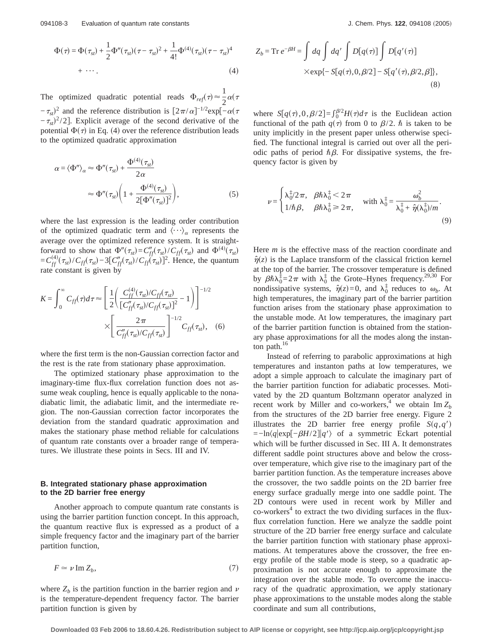$$
\Phi(\tau) = \Phi(\tau_{st}) + \frac{1}{2}\Phi''(\tau_{st})(\tau - \tau_{st})^2 + \frac{1}{4!}\Phi^{(4)}(\tau_{st})(\tau - \tau_{st})^4
$$
  
+ ... (4)

The optimized quadratic potential reads  $\Phi_{ref}(\tau) \approx \frac{1}{2} \alpha(\tau)$  $-\tau_{st}$ <sup>2</sup> and the reference distribution is  $\left[2\pi/\alpha\right]^{-1/2}$ exp $\left[-\alpha(\tau)\right]$  $-\tau_{st}$ <sup>2</sup>/2]. Explicit average of the second derivative of the potential  $\Phi(\tau)$  in Eq. (4) over the reference distribution leads to the optimized quadratic approximation

$$
\alpha = \langle \Phi'' \rangle_{\alpha} \approx \Phi''(\tau_{st}) + \frac{\Phi^{(4)}(\tau_{st})}{2\alpha}
$$

$$
\approx \Phi''(\tau_{st}) \left( 1 + \frac{\Phi^{(4)}(\tau_{st})}{2[\Phi''(\tau_{st})]^2} \right), \tag{5}
$$

where the last expression is the leading order contribution of the optimized quadratic term and  $\langle \cdots \rangle_{\alpha}$  represents the average over the optimized reference system. It is straightforward to show that  $\Phi''(\tau_{st}) = C''_{ff}(\tau_{st})/C_{ff}(\tau_{st})$  and  $\Phi^{(4)}(\tau_{st})$  $= C_{ff}^{(4)}(\tau_{st})/C_{ff}(\tau_{st}) - 3[C_{ff}''(\tau_{st})/C_{ff}(\tau_{st})]^2$ . Hence, the quantum rate constant is given by

$$
K = \int_0^{\infty} C_{ff}(\tau) d\tau \approx \left[ \frac{1}{2} \left( \frac{C_{ff}^{(4)}(\tau_{st}) / C_{ff}(\tau_{st})}{[C_{ff}''(\tau_{st}) / C_{ff}(\tau_{st})]^2} - 1 \right) \right]^{-1/2} \times \left[ \frac{2\pi}{C_{ff}''(\tau_{st}) / C_{ff}(\tau_{st})} \right]^{-1/2} C_{ff}(\tau_{st}), \quad (6)
$$

where the first term is the non-Gaussian correction factor and the rest is the rate from stationary phase approximation.

The optimized stationary phase approximation to the imaginary-time flux-flux correlation function does not assume weak coupling, hence is equally applicable to the nonadiabatic limit, the adiabatic limit, and the intermediate region. The non-Gaussian correction factor incorporates the deviation from the standard quadratic approximation and makes the stationary phase method reliable for calculations of quantum rate constants over a broader range of temperatures. We illustrate these points in Secs. III and IV.

#### **B. Integrated stationary phase approximation to the 2D barrier free energy**

Another approach to compute quantum rate constants is using the barrier partition function concept. In this approach, the quantum reactive flux is expressed as a product of a simple frequency factor and the imaginary part of the barrier partition function,

$$
F \simeq \nu \operatorname{Im} Z_b,\tag{7}
$$

where  $Z_b$  is the partition function in the barrier region and  $\nu$ is the temperature-dependent frequency factor. The barrier partition function is given by

$$
Z_b = \text{Tr } e^{-\beta H} = \int dq \int dq' \int D[q(\tau)] \int D[q'(\tau)]
$$
  
× $\exp{-S[q(\tau), 0, \beta/2] - S[q'(\tau), \beta/2, \beta]}$ , (8)

where  $S[q(\tau),0,\beta/2] = \int_0^{\beta/2} H(\tau) d\tau$  is the Euclidean action functional of the path  $q(\tau)$  from 0 to  $\beta/2$ .  $\hbar$  is taken to be unity implicitly in the present paper unless otherwise specified. The functional integral is carried out over all the periodic paths of period  $\hbar \beta$ . For dissipative systems, the frequency factor is given by

$$
\nu = \begin{cases} \lambda_0^{\frac{1}{4}}/2\pi, & \beta \hbar \lambda_0^{\frac{1}{4}} < 2\pi \\ 1/\hbar \beta, & \beta \hbar \lambda_0^{\frac{1}{4}} \ge 2\pi, \end{cases} \quad \text{with } \lambda_0^{\frac{1}{4}} = \frac{\omega_b^2}{\lambda_0^{\frac{1}{4}} + \hat{\eta}(\lambda_0^{\frac{1}{4}})/m}.
$$
\n
$$
(9)
$$

Here *m* is the effective mass of the reaction coordinate and  $\hat{\eta}(z)$  is the Laplace transform of the classical friction kernel at the top of the barrier. The crossover temperature is defined by  $\beta \hbar \lambda_0^{\frac{4}{5}} = 2\pi$  with  $\lambda_0^{\frac{4}{5}}$  the Grote–Hynes frequency.<sup>29,30</sup> For nondissipative systems,  $\hat{\eta}(z) = 0$ , and  $\lambda_0^{\ddagger}$  reduces to  $\omega_b$ . At high temperatures, the imaginary part of the barrier partition function arises from the stationary phase approximation to the unstable mode. At low temperatures, the imaginary part of the barrier partition function is obtained from the stationary phase approximations for all the modes along the instanton path.<sup>16</sup>

Instead of referring to parabolic approximations at high temperatures and instanton paths at low temperatures, we adopt a simple approach to calculate the imaginary part of the barrier partition function for adiabatic processes. Motivated by the 2D quantum Boltzmann operator analyzed in recent work by Miller and co-workers,<sup>4</sup> we obtain  $\text{Im } Z_b$ from the structures of the 2D barrier free energy. Figure 2 illustrates the 2D barrier free energy profile  $S(q, q)$  $=-\ln\langle q| \exp[-\beta H/2]|q'\rangle$  of a symmetric Eckart potential which will be further discussed in Sec. III A. It demonstrates different saddle point structures above and below the crossover temperature, which give rise to the imaginary part of the barrier partition function. As the temperature increases above the crossover, the two saddle points on the 2D barrier free energy surface gradually merge into one saddle point. The 2D contours were used in recent work by Miller and  $\cos$ -workers<sup>4</sup> to extract the two dividing surfaces in the fluxflux correlation function. Here we analyze the saddle point structure of the 2D barrier free energy surface and calculate the barrier partition function with stationary phase approximations. At temperatures above the crossover, the free energy profile of the stable mode is steep, so a quadratic approximation is not accurate enough to approximate the integration over the stable mode. To overcome the inaccuracy of the quadratic approximation, we apply stationary phase approximations to the unstable modes along the stable coordinate and sum all contributions,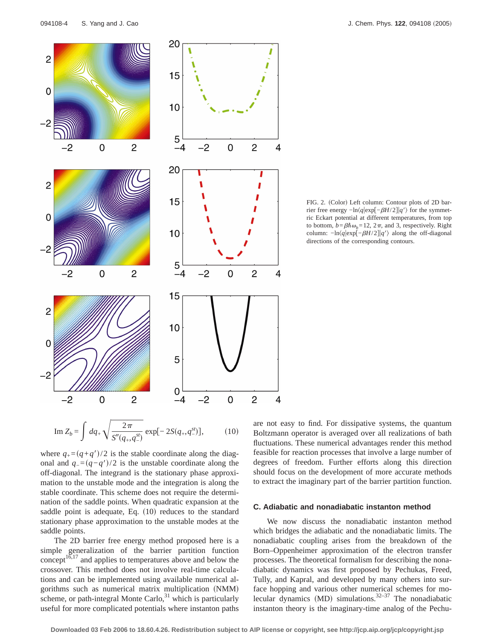

Im 
$$
Z_b = \int dq_+ \sqrt{\frac{2\pi}{S''(q_+, q_-^{st})}} \exp[-2S(q_+, q_-^{st})],
$$
 (10)

where  $q_{+}=(q+q')/2$  is the stable coordinate along the diagonal and  $q_=(q-q')/2$  is the unstable coordinate along the off-diagonal. The integrand is the stationary phase approximation to the unstable mode and the integration is along the stable coordinate. This scheme does not require the determination of the saddle points. When quadratic expansion at the saddle point is adequate, Eq.  $(10)$  reduces to the standard stationary phase approximation to the unstable modes at the saddle points.

The 2D barrier free energy method proposed here is a simple generalization of the barrier partition function concept<sup>16,17</sup> and applies to temperatures above and below the crossover. This method does not involve real-time calculations and can be implemented using available numerical algorithms such as numerical matrix multiplication (NMM) scheme, or path-integral Monte Carlo, $31$  which is particularly useful for more complicated potentials where instanton paths are not easy to find. For dissipative systems, the quantum Boltzmann operator is averaged over all realizations of bath fluctuations. These numerical advantages render this method feasible for reaction processes that involve a large number of degrees of freedom. Further efforts along this direction should focus on the development of more accurate methods to extract the imaginary part of the barrier partition function.

#### **C. Adiabatic and nonadiabatic instanton method**

We now discuss the nonadiabatic instanton method which bridges the adiabatic and the nonadiabatic limits. The nonadiabatic coupling arises from the breakdown of the Born–Oppenheimer approximation of the electron transfer processes. The theoretical formalism for describing the nonadiabatic dynamics was first proposed by Pechukas, Freed, Tully, and Kapral, and developed by many others into surface hopping and various other numerical schemes for molecular dynamics (MD) simulations.<sup>32–37</sup> The nonadiabatic instanton theory is the imaginary-time analog of the Pechu-

FIG. 2. (Color) Left column: Contour plots of 2D barrier free energy  $-\ln\langle q|\exp[-\beta H/2]|q'\rangle$  for the symmetric Eckart potential at different temperatures, from top to bottom,  $b = \beta \hbar \omega_b = 12$ ,  $2\pi$ , and 3, respectively. Right column:  $-\ln(q|exp[-\beta H/2]|q\rangle$  along the off-diagonal directions of the corresponding contours.

 $\overline{4}$ 

4

 $\overline{4}$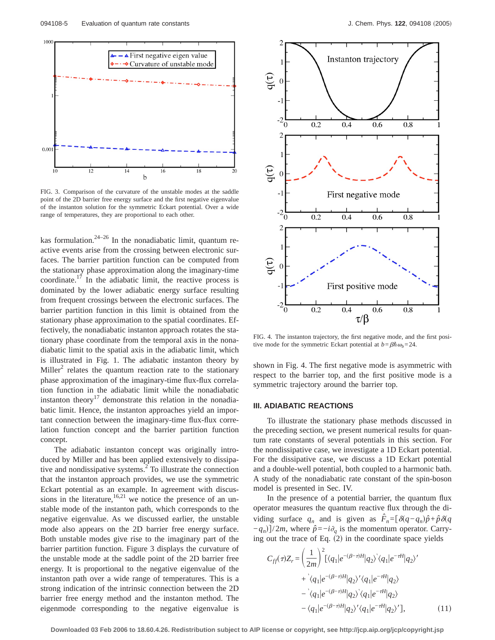

FIG. 3. Comparison of the curvature of the unstable modes at the saddle point of the 2D barrier free energy surface and the first negative eigenvalue of the instanton solution for the symmetric Eckart potential. Over a wide range of temperatures, they are proportional to each other.

kas formulation. $24-26$  In the nonadiabatic limit, quantum reactive events arise from the crossing between electronic surfaces. The barrier partition function can be computed from the stationary phase approximation along the imaginary-time coordinate.17 In the adiabatic limit, the reactive process is dominated by the lower adiabatic energy surface resulting from frequent crossings between the electronic surfaces. The barrier partition function in this limit is obtained from the stationary phase approximation to the spatial coordinates. Effectively, the nonadiabatic instanton approach rotates the stationary phase coordinate from the temporal axis in the nonadiabatic limit to the spatial axis in the adiabatic limit, which is illustrated in Fig. 1. The adiabatic instanton theory by  $Miller<sup>2</sup>$  relates the quantum reaction rate to the stationary phase approximation of the imaginary-time flux-flux correlation function in the adiabatic limit while the nonadiabatic instanton theory $17$  demonstrate this relation in the nonadiabatic limit. Hence, the instanton approaches yield an important connection between the imaginary-time flux-flux correlation function concept and the barrier partition function concept.

The adiabatic instanton concept was originally introduced by Miller and has been applied extensively to dissipative and nondissipative systems.2 To illustrate the connection that the instanton approach provides, we use the symmetric Eckart potential as an example. In agreement with discussions in the literature,  $16,21$  we notice the presence of an unstable mode of the instanton path, which corresponds to the negative eigenvalue. As we discussed earlier, the unstable mode also appears on the 2D barrier free energy surface. Both unstable modes give rise to the imaginary part of the barrier partition function. Figure 3 displays the curvature of the unstable mode at the saddle point of the 2D barrier free energy. It is proportional to the negative eigenvalue of the instanton path over a wide range of temperatures. This is a strong indication of the intrinsic connection between the 2D barrier free energy method and the instanton method. The eigenmode corresponding to the negative eigenvalue is



FIG. 4. The instanton trajectory, the first negative mode, and the first positive mode for the symmetric Eckart potential at  $b = \beta \hbar \omega_b = 24$ .

shown in Fig. 4. The first negative mode is asymmetric with respect to the barrier top, and the first positive mode is a symmetric trajectory around the barrier top.

## **III. ADIABATIC REACTIONS**

To illustrate the stationary phase methods discussed in the preceding section, we present numerical results for quantum rate constants of several potentials in this section. For the nondissipative case, we investigate a 1D Eckart potential. For the dissipative case, we discuss a 1D Eckart potential and a double-well potential, both coupled to a harmonic bath. A study of the nonadiabatic rate constant of the spin-boson model is presented in Sec. IV.

In the presence of a potential barrier, the quantum flux operator measures the quantum reactive flux through the dividing surface  $q_n$  and is given as  $\hat{F}_n = [\delta(q - q_n)\hat{p} + \hat{p}\delta(q)]$  $(-q_n)$ ]/2*m*, where  $\hat{p} = -i\partial_q$  is the momentum operator. Carrying out the trace of Eq.  $(2)$  in the coordinate space yields

$$
C_{ff}(\tau)Z_r = \left(\frac{1}{2m}\right)^2 \left[ \langle q_1|e^{-(\beta-\tau)H}|q_2\rangle \langle q_1|e^{-\tau H}|q_2\rangle' + \langle q_1|e^{-(\beta-\tau)H}|q_2\rangle' \langle q_1|e^{-\tau H}|q_2\rangle \right. \\ \left. - \langle q_1|e^{-(\beta-\tau)H}|q_2\rangle \langle q_1|e^{-\tau H}|q_2\rangle - \langle q_1|e^{-(\beta-\tau)H}|q_2\rangle' \langle q_1|e^{-\tau H}|q_2\rangle' \right], \tag{11}
$$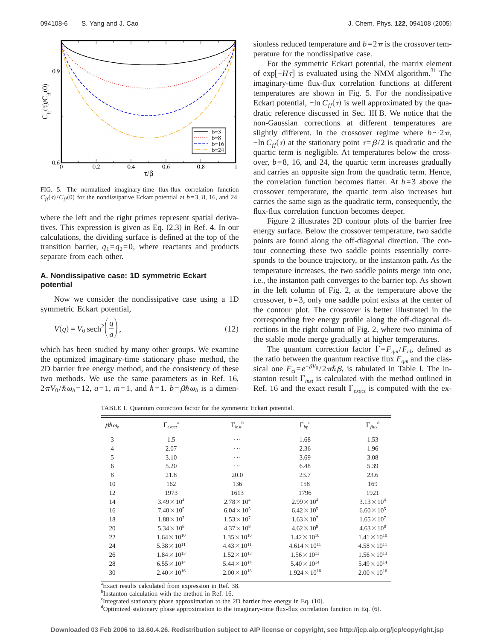

FIG. 5. The normalized imaginary-time flux-flux correlation function  $C_{\text{ff}}(\tau)/C_{\text{ff}}(0)$  for the nondissipative Eckart potential at *b*=3, 8, 16, and 24.

where the left and the right primes represent spatial derivatives. This expression is given as Eq.  $(2.3)$  in Ref. 4. In our calculations, the dividing surface is defined at the top of the transition barrier,  $q_1 = q_2 = 0$ , where reactants and products separate from each other.

#### **A. Nondissipative case: 1D symmetric Eckart potential**

Now we consider the nondissipative case using a 1D symmetric Eckart potential,

$$
V(q) = V_0 \operatorname{sech}^2\!\left(\frac{q}{a}\right),\tag{12}
$$

which has been studied by many other groups. We examine the optimized imaginary-time stationary phase method, the 2D barrier free energy method, and the consistency of these two methods. We use the same parameters as in Ref. 16,  $2\pi V_0 / \hbar \omega_b = 12$ ,  $a=1$ ,  $m=1$ , and  $\hbar = 1$ .  $b = \beta \hbar \omega_b$  is a dimensionless reduced temperature and  $b=2\pi$  is the crossover temperature for the nondissipative case.

For the symmetric Eckart potential, the matrix element of exp[ $-H\tau$ ] is evaluated using the NMM algorithm.<sup>31</sup> The imaginary-time flux-flux correlation functions at different temperatures are shown in Fig. 5. For the nondissipative Eckart potential,  $-\ln C_{ff}(\tau)$  is well approximated by the quadratic reference discussed in Sec. III B. We notice that the non-Gaussian corrections at different temperatures are slightly different. In the crossover regime where  $b \sim 2\pi$ ,  $-\ln C_{ff}(\tau)$  at the stationary point  $\tau = \beta/2$  is quadratic and the quartic term is negligible. At temperatures below the crossover, *b*=8, 16, and 24, the quartic term increases gradually and carries an opposite sign from the quadratic term. Hence, the correlation function becomes flatter. At  $b=3$  above the crossover temperature, the quartic term also increases but carries the same sign as the quadratic term, consequently, the flux-flux correlation function becomes deeper.

Figure 2 illustrates 2D contour plots of the barrier free energy surface. Below the crossover temperature, two saddle points are found along the off-diagonal direction. The contour connecting these two saddle points essentially corresponds to the bounce trajectory, or the instanton path. As the temperature increases, the two saddle points merge into one, i.e., the instanton path converges to the barrier top. As shown in the left column of Fig. 2, at the temperature above the crossover, *b*=3, only one saddle point exists at the center of the contour plot. The crossover is better illustrated in the corresponding free energy profile along the off-diagonal directions in the right column of Fig. 2, where two minima of the stable mode merge gradually at higher temperatures.

The quantum correction factor  $\Gamma = F_{qm}/F_{cl}$ , defined as the ratio between the quantum reactive flux  $F_{qm}$  and the classical one  $F_{cI} = e^{-\beta V_0} / 2\pi \hbar \beta$ , is tabulated in Table I. The instanton result  $\Gamma_{inst}$  is calculated with the method outlined in Ref. 16 and the exact result  $\Gamma_{exact}$  is computed with the ex-

TABLE I. Quantum correction factor for the symmetric Eckart potential.

| $\beta \hbar \omega_h$ | $\Gamma_{exact}^{\quad a}$ | $\Gamma_{inst}^{\quad b}$ | $\Gamma_{bp}^{\quad c}$ | $\Gamma_{flux}^{d}$   |
|------------------------|----------------------------|---------------------------|-------------------------|-----------------------|
| 3                      | 1.5                        | .                         | 1.68                    | 1.53                  |
| $\overline{4}$         | 2.07                       | .                         | 2.36                    | 1.96                  |
| 5                      | 3.10                       | .                         | 3.69                    | 3.08                  |
| 6                      | 5.20                       | $\cdots$                  | 6.48                    | 5.39                  |
| 8                      | 21.8                       | 20.0                      | 23.7                    | 23.6                  |
| 10                     | 162                        | 136                       | 158                     | 169                   |
| 12                     | 1973                       | 1613                      | 1796                    | 1921                  |
| 14                     | $3.49 \times 10^{4}$       | $2.78 \times 10^{4}$      | $2.99 \times 10^{4}$    | $3.13 \times 10^{4}$  |
| 16                     | $7.40 \times 10^{5}$       | $6.04 \times 10^{5}$      | $6.42 \times 10^{5}$    | $6.60 \times 10^{5}$  |
| 18                     | $1.88 \times 10^{7}$       | $1.53 \times 10^{7}$      | $1.63 \times 10^{7}$    | $1.65 \times 10^{7}$  |
| 20                     | $5.34 \times 10^8$         | $4.37 \times 10^8$        | $4.62 \times 10^8$      | $4.63 \times 10^8$    |
| 22                     | $1.64 \times 10^{10}$      | $1.35 \times 10^{10}$     | $1.42 \times 10^{10}$   | $1.41 \times 10^{10}$ |
| 24                     | $5.38 \times 10^{11}$      | $4.43 \times 10^{11}$     | $4.614 \times 10^{11}$  | $4.58 \times 10^{11}$ |
| 26                     | $1.84 \times 10^{13}$      | $1.52 \times 10^{13}$     | $1.56 \times 10^{13}$   | $1.56 \times 10^{13}$ |
| 28                     | $6.55 \times 10^{14}$      | $5.44 \times 10^{14}$     | $5.40 \times 10^{14}$   | $5.49 \times 10^{14}$ |
| 30                     | $2.40 \times 10^{16}$      | $2.00 \times 10^{16}$     | $1.924 \times 10^{16}$  | $2.00 \times 10^{16}$ |

<sup>a</sup> Exact results calculated from expression in Ref. 38.

<sup>b</sup>Instanton calculation with the method in Ref. 16.

The external stationary phase approximation to the 2D barrier free energy in Eq. (10).

<sup>d</sup>Optimized stationary phase approximation to the imaginary-time flux-flux correlation function in Eq. (6).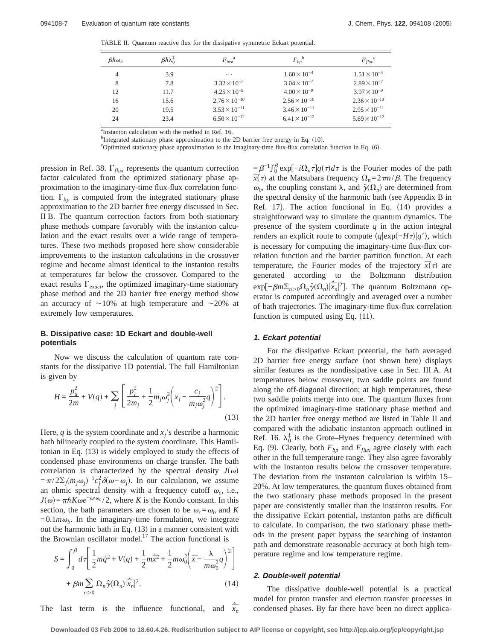TABLE II. Quantum reactive flux for the dissipative symmetric Eckart potential.

| $\beta \hbar \omega_h$ | $\beta \hbar \lambda_0^{\rm I}$ | $F_{inst}^{\quad a}$   | $F_{bp}^{\ b}$         | $F_{flux}^{\quad c}$   |
|------------------------|---------------------------------|------------------------|------------------------|------------------------|
| 4                      | 3.9                             | $\cdots$               | $1.60 \times 10^{-4}$  | $1.51 \times 10^{-4}$  |
| 8                      | 7.8                             | $3.32 \times 10^{-7}$  | $3.04 \times 10^{-7}$  | $2.89 \times 10^{-7}$  |
| 12                     | 11.7                            | $4.25 \times 10^{-9}$  | $4.00 \times 10^{-9}$  | $3.97 \times 10^{-9}$  |
| 16                     | 15.6                            | $2.76 \times 10^{-10}$ | $2.56 \times 10^{-10}$ | $2.36 \times 10^{-10}$ |
| 20                     | 19.5                            | $3.53 \times 10^{-11}$ | $3.46 \times 10^{-11}$ | $2.95 \times 10^{-11}$ |
| 24                     | 23.4                            | $6.50 \times 10^{-12}$ | $6.41 \times 10^{-12}$ | $5.69 \times 10^{-12}$ |

<sup>a</sup>Instanton calculation with the method in Ref. 16.

b Integrated stationary phase approximation to the 2D barrier free energy in Eq. (10).

<sup>c</sup>Optimized stationary phase approximation to the imaginary-time flux-flux correlation function in Eq.  $(6)$ .

pression in Ref. 38.  $\Gamma_{flux}$  represents the quantum correction factor calculated from the optimized stationary phase approximation to the imaginary-time flux-flux correlation function.  $\Gamma_{bn}$  is computed from the integrated stationary phase approximation to the 2D barrier free energy discussed in Sec. II B. The quantum correction factors from both stationary phase methods compare favorably with the instanton calculation and the exact results over a wide range of temperatures. These two methods proposed here show considerable improvements to the instanton calculations in the crossover regime and become almost identical to the instanton results at temperatures far below the crossover. Compared to the exact results  $\Gamma_{exact}$ , the optimized imaginary-time stationary phase method and the 2D barrier free energy method show an accuracy of  $\sim$ 10% at high temperature and  $\sim$ 20% at extremely low temperatures.

#### **B. Dissipative case: 1D Eckart and double-well potentials**

Now we discuss the calculation of quantum rate constants for the dissipative 1D potential. The full Hamiltonian is given by

$$
H = \frac{p_q^2}{2m} + V(q) + \sum_j \left[ \frac{p_j^2}{2m_j} + \frac{1}{2} m_j \omega_j^2 \left( x_j - \frac{c_j}{m_j \omega_j^2} q \right)^2 \right].
$$
\n(13)

Here,  $q$  is the system coordinate and  $x_i$ 's describe a harmonic bath bilinearly coupled to the system coordinate. This Hamiltonian in Eq.  $(13)$  is widely employed to study the effects of condensed phase environments on charge transfer. The bath correlation is characterized by the spectral density  $J(\omega)$  $=\pi/2\Sigma_j(m_j\omega_j)^{-1}c_j^2\delta(\omega-\omega_j)$ . In our calculation, we assume an ohmic spectral density with a frequency cutoff  $\omega_c$ , i.e.,  $J(\omega) = \pi \hbar K \omega e^{-\omega/\omega_c}$  *Z*, where *K* is the Kondo constant. In this section, the bath parameters are chosen to be  $\omega_c = \omega_b$  and *K*  $=0.1 m \omega_b$ . In the imaginary-time formulation, we integrate out the harmonic bath in Eq.  $(13)$  in a manner consistent with the Brownian oscillator model.<sup>17</sup> The action functional is

$$
S = \int_0^\beta d\tau \left[ \frac{1}{2} m \dot{q}^2 + V(q) + \frac{1}{2} m \dot{\vec{x}}^2 + \frac{1}{2} m \omega_0^2 \left( \bar{x} - \frac{\lambda}{m \omega_0^2} q \right)^2 \right] + \beta m \sum_{n>0} \Omega_n \hat{\gamma}(\Omega_n) |\dot{\vec{x}}_n|^2.
$$
 (14)

The last term is the influence functional, and  $\hat{\vec{x}}_n$ 

 $=\beta^{-1}\int_0^\beta \exp[-i\Omega_n\tau]q(\tau)d\tau$  is the Fourier modes of the path  $\bar{x}(\tau)$  at the Matsubara frequency  $\Omega_n = 2\pi n/\beta$ . The frequency  $ω_0$ , the coupling constant λ, and  $\hat{\gamma}(Ω_n)$  are determined from the spectral density of the harmonic bath (see Appendix B in Ref. 17). The action functional in Eq.  $(14)$  provides a straightforward way to simulate the quantum dynamics. The presence of the system coordinate *q* in the action integral renders an explicit route to compute  $\langle q | \exp(-H\tau) | q' \rangle$ , which is necessary for computing the imaginary-time flux-flux correlation function and the barrier partition function. At each temperature, the Fourier modes of the trajectory  $\bar{x}(\tau)$  are generated according to the Boltzmann distribution  $exp[-\beta m\Sigma_{n>0}Ω_n\hat{\gamma}(Ω_n)|\hat{\vec{x}}_n|^2]$ . The quantum Boltzmann operator is computed accordingly and averaged over a number of bath trajectories. The imaginary-time flux-flux correlation function is computed using Eq.  $(11)$ .

#### **1. Eckart potential**

For the dissipative Eckart potential, the bath averaged 2D barrier free energy surface (not shown here) displays similar features as the nondissipative case in Sec. III A. At temperatures below crossover, two saddle points are found along the off-diagonal direction; at high temperatures, these two saddle points merge into one. The quantum fluxes from the optimized imaginary-time stationary phase method and the 2D barrier free energy method are listed in Table II and compared with the adiabatic instanton approach outlined in Ref. 16.  $\lambda_0^{\ddagger}$  is the Grote–Hynes frequency determined with Eq. (9). Clearly, both  $F_{bp}$  and  $F_{flux}$  agree closely with each other in the full temperature range. They also agree favorably with the instanton results below the crossover temperature. The deviation from the instanton calculation is within 15– 20%. At low temperatures, the quantum fluxes obtained from the two stationary phase methods proposed in the present paper are consistently smaller than the instanton results. For the dissipative Eckart potential, instanton paths are difficult to calculate. In comparison, the two stationary phase methods in the present paper bypass the searching of instanton path and demonstrate reasonable accuracy at both high temperature regime and low temperature regime.

#### **2. Double-well potential**

The dissipative double-well potential is a practical model for proton transfer and electron transfer processes in condensed phases. By far there have been no direct applica-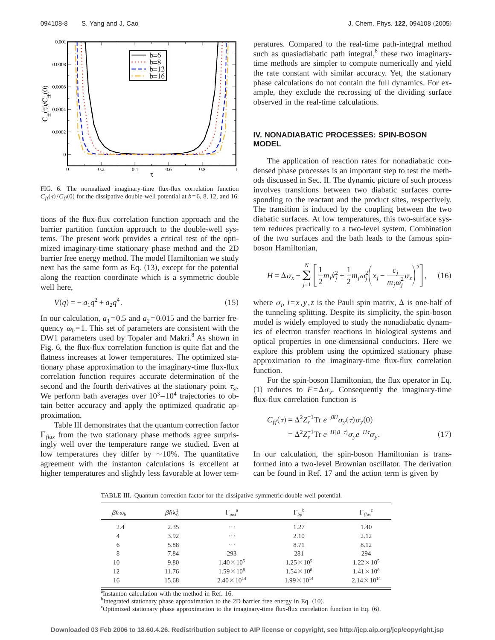

FIG. 6. The normalized imaginary-time flux-flux correlation function  $C_{\text{ff}}(\tau)/C_{\text{ff}}(0)$  for the dissipative double-well potential at *b*=6, 8, 12, and 16.

tions of the flux-flux correlation function approach and the barrier partition function approach to the double-well systems. The present work provides a critical test of the optimized imaginary-time stationary phase method and the 2D barrier free energy method. The model Hamiltonian we study next has the same form as Eq.  $(13)$ , except for the potential along the reaction coordinate which is a symmetric double well here,

$$
V(q) = -a_1 q^2 + a_2 q^4. \tag{15}
$$

In our calculation,  $a_1=0.5$  and  $a_2=0.015$  and the barrier frequency  $\omega_b = 1$ . This set of parameters are consistent with the DW1 parameters used by Topaler and Makri.<sup>8</sup> As shown in Fig. 6, the flux-flux correlation function is quite flat and the flatness increases at lower temperatures. The optimized stationary phase approximation to the imaginary-time flux-flux correlation function requires accurate determination of the second and the fourth derivatives at the stationary point  $\tau_{st}$ . We perform bath averages over  $10^3 - 10^4$  trajectories to obtain better accuracy and apply the optimized quadratic approximation.

Table III demonstrates that the quantum correction factor  $\Gamma_{\text{flux}}$  from the two stationary phase methods agree surprisingly well over the temperature range we studied. Even at low temperatures they differ by  $\sim$ 10%. The quantitative agreement with the instanton calculations is excellent at higher temperatures and slightly less favorable at lower temperatures. Compared to the real-time path-integral method such as quasiadiabatic path integral, $8$  these two imaginarytime methods are simpler to compute numerically and yield the rate constant with similar accuracy. Yet, the stationary phase calculations do not contain the full dynamics. For example, they exclude the recrossing of the dividing surface observed in the real-time calculations.

#### **IV. NONADIABATIC PROCESSES: SPIN-BOSON MODEL**

The application of reaction rates for nonadiabatic condensed phase processes is an important step to test the methods discussed in Sec. II. The dynamic picture of such process involves transitions between two diabatic surfaces corresponding to the reactant and the product sites, respectively. The transition is induced by the coupling between the two diabatic surfaces. At low temperatures, this two-surface system reduces practically to a two-level system. Combination of the two surfaces and the bath leads to the famous spinboson Hamiltonian,

$$
H = \Delta \sigma_x + \sum_{j=1}^{N} \left[ \frac{1}{2} m_j \dot{x}_j^2 + \frac{1}{2} m_j \omega_j^2 \left( x_j - \frac{c_j}{m_j \omega_j^2} \sigma_z \right)^2 \right], \quad (16)
$$

where  $\sigma_i$ ,  $i = x, y, z$  is the Pauli spin matrix,  $\Delta$  is one-half of the tunneling splitting. Despite its simplicity, the spin-boson model is widely employed to study the nonadiabatic dynamics of electron transfer reactions in biological systems and optical properties in one-dimensional conductors. Here we explore this problem using the optimized stationary phase approximation to the imaginary-time flux-flux correlation function.

For the spin-boson Hamiltonian, the flux operator in Eq. (1) reduces to  $F = \Delta \sigma_{y}$ . Consequently the imaginary-time flux-flux correlation function is

$$
C_{ff}(\tau) = \Delta^2 Z_r^{-1} \text{Tr } e^{-\beta H} \sigma_y(\tau) \sigma_y(0)
$$
  
=  $\Delta^2 Z_r^{-1} \text{Tr } e^{-H(\beta - \tau)} \sigma_y e^{-H\tau} \sigma_y.$  (17)

In our calculation, the spin-boson Hamiltonian is transformed into a two-level Brownian oscillator. The derivation can be found in Ref. 17 and the action term is given by

TABLE III. Quantum correction factor for the dissipative symmetric double-well potential.

| $\beta \hbar \omega_h$ | $\beta \hbar \lambda_0^{\ddagger}$ | $\Gamma_{inst}^{\quad a}$ | $\Gamma_{bp}^{\ b}$   | $\Gamma_{flux}^{\quad c}$ |
|------------------------|------------------------------------|---------------------------|-----------------------|---------------------------|
| 2.4                    | 2.35                               | $\cdots$                  | 1.27                  | 1.40                      |
| $\overline{4}$         | 3.92                               | $\cdots$                  | 2.10                  | 2.12                      |
| 6                      | 5.88                               | $\cdots$                  | 8.71                  | 8.12                      |
| 8                      | 7.84                               | 293                       | 281                   | 294                       |
| 10                     | 9.80                               | $1.40 \times 10^{5}$      | $1.25 \times 10^{5}$  | $1.22 \times 10^5$        |
| 12                     | 11.76                              | $1.59 \times 10^8$        | $1.54 \times 10^8$    | $1.41 \times 10^{8}$      |
| 16                     | 15.68                              | $2.40 \times 10^{14}$     | $1.99 \times 10^{14}$ | $2.14 \times 10^{14}$     |

<sup>a</sup>Instanton calculation with the method in Ref. 16.

b<sub>Integrated</sub> stationary phase approximation to the 2D barrier free energy in Eq. (10).

<sup>c</sup>Optimized stationary phase approximation to the imaginary-time flux-flux correlation function in Eq.  $(6)$ .

**Downloaded 03 Feb 2006 to 18.60.4.26. Redistribution subject to AIP license or copyright, see http://jcp.aip.org/jcp/copyright.jsp**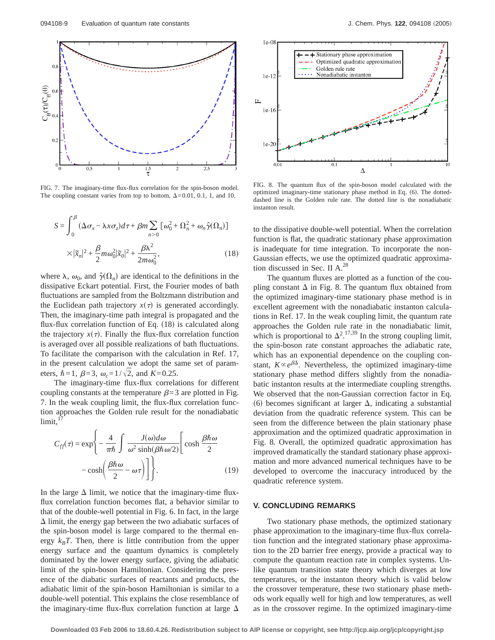

FIG. 7. The imaginary-time flux-flux correlation for the spin-boson model. The coupling constant varies from top to bottom,  $\Delta=0.01$ , 0.1, 1, and 10.

$$
S = \int_0^\beta (\Delta \sigma_x - \lambda x \sigma_z) d\tau + \beta m \sum_{n>0} [\omega_0^2 + \Omega_n^2 + \omega_n \hat{\gamma}(\Omega_n)]
$$
  
 
$$
\times |\tilde{x}_n|^2 + \frac{\beta}{2} m \omega_0^2 |\tilde{x}_0|^2 + \frac{\beta \lambda^2}{2 m \omega_0^2},
$$
 (18)

where  $\lambda$ ,  $\omega_0$ , and  $\hat{\gamma}(\Omega_n)$  are identical to the definitions in the dissipative Eckart potential. First, the Fourier modes of bath fluctuations are sampled from the Boltzmann distribution and the Euclidean path trajectory  $x(\tau)$  is generated accordingly. Then, the imaginary-time path integral is propagated and the flux-flux correlation function of Eq.  $(18)$  is calculated along the trajectory  $x(\tau)$ . Finally the flux-flux correlation function is averaged over all possible realizations of bath fluctuations. To facilitate the comparison with the calculation in Ref. 17, in the present calculation we adopt the same set of parameters,  $\hbar = 1$ ,  $\beta = 3$ ,  $\omega_c = 1/\sqrt{2}$ , and  $K = 0.25$ .

The imaginary-time flux-flux correlations for different coupling constants at the temperature  $\beta=3$  are plotted in Fig. 7. In the weak coupling limit, the flux-flux correlation function approaches the Golden rule result for the nonadiabatic  $limit,$ <sup>1</sup>

$$
C_{ff}(\tau) = \exp\left\{-\frac{4}{\pi\hbar} \int \frac{J(\omega)d\omega}{\omega^2 \sinh(\beta\hbar\omega/2)} \left[\cosh\frac{\beta\hbar\omega}{2} - \cosh\left(\frac{\beta\hbar\omega}{2} - \omega\tau\right)\right] \right\}.
$$
 (19)

In the large  $\Delta$  limit, we notice that the imaginary-time fluxflux correlation function becomes flat, a behavior similar to that of the double-well potential in Fig. 6. In fact, in the large  $\Delta$  limit, the energy gap between the two adiabatic surfaces of the spin-boson model is large compared to the thermal energy  $k_B T$ . Then, there is little contribution from the upper energy surface and the quantum dynamics is completely dominated by the lower energy surface, giving the adiabatic limit of the spin-boson Hamiltonian. Considering the presence of the diabatic surfaces of reactants and products, the adiabatic limit of the spin-boson Hamiltonian is similar to a double-well potential. This explains the close resemblance of the imaginary-time flux-flux correlation function at large  $\Delta$ 



FIG. 8. The quantum flux of the spin-boson model calculated with the optimized imaginary-time stationary phase method in Eq.  $(6)$ . The dotteddashed line is the Golden rule rate. The dotted line is the nonadiabatic instanton result.

to the dissipative double-well potential. When the correlation function is flat, the quadratic stationary phase approximation is inadequate for time integration. To incorporate the non-Gaussian effects, we use the optimized quadratic approximation discussed in Sec. II  $A^{28}$ 

The quantum fluxes are plotted as a function of the coupling constant  $\Delta$  in Fig. 8. The quantum flux obtained from the optimized imaginary-time stationary phase method is in excellent agreement with the nonadiabatic instanton calculations in Ref. 17. In the weak coupling limit, the quantum rate approaches the Golden rule rate in the nonadiabatic limit, which is proportional to  $\Delta^{2}$ .<sup>17,39</sup> In the strong coupling limit, the spin-boson rate constant approaches the adiabatic rate, which has an exponential dependence on the coupling constant,  $K \propto e^{\beta \Delta}$ . Nevertheless, the optimized imaginary-time stationary phase method differs slightly from the nonadiabatic instanton results at the intermediate coupling strengths. We observed that the non-Gaussian correction factor in Eq. (6) becomes significant at larger  $\Delta$ , indicating a substantial deviation from the quadratic reference system. This can be seen from the difference between the plain stationary phase approximation and the optimized quadratic approximation in Fig. 8. Overall, the optimized quadratic approximation has improved dramatically the standard stationary phase approximation and more advanced numerical techniques have to be developed to overcome the inaccuracy introduced by the quadratic reference system.

#### **V. CONCLUDING REMARKS**

Two stationary phase methods, the optimized stationary phase approximation to the imaginary-time flux-flux correlation function and the integrated stationary phase approximation to the 2D barrier free energy, provide a practical way to compute the quantum reaction rate in complex systems. Unlike quantum transition state theory which diverges at low temperatures, or the instanton theory which is valid below the crossover temperature, these two stationary phase methods work equally well for high and low temperatures, as well as in the crossover regime. In the optimized imaginary-time